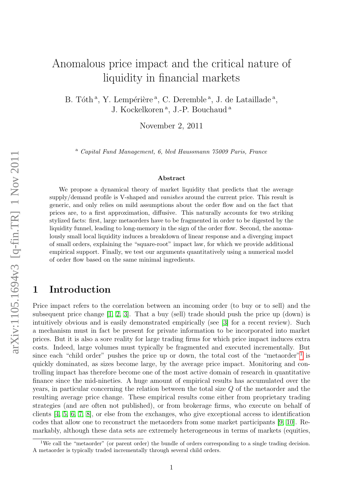# Anomalous price impact and the critical nature of liquidity in financial markets

B. Tóth<sup>a</sup>, Y. Lempérière<sup>a</sup>, C. Deremble<sup>a</sup>, J. de Lataillade<sup>a</sup>, J. Kockelkoren<sup>a</sup>, J.-P. Bouchaud<sup>a</sup>

November 2, 2011

<sup>a</sup> Capital Fund Management, 6, blvd Haussmann 75009 Paris, France

#### Abstract

We propose a dynamical theory of market liquidity that predicts that the average supply/demand profile is V-shaped and *vanishes* around the current price. This result is generic, and only relies on mild assumptions about the order flow and on the fact that prices are, to a first approximation, diffusive. This naturally accounts for two striking stylized facts: first, large metaorders have to be fragmented in order to be digested by the liquidity funnel, leading to long-memory in the sign of the order flow. Second, the anomalously small local liquidity induces a breakdown of linear response and a diverging impact of small orders, explaining the "square-root" impact law, for which we provide additional empirical support. Finally, we test our arguments quantitatively using a numerical model of order flow based on the same minimal ingredients.

### 1 Introduction

Price impact refers to the correlation between an incoming order (to buy or to sell) and the subsequent price change [\[1,](#page-12-0) [2,](#page-12-1) [3\]](#page-12-2). That a buy (sell) trade should push the price up (down) is intuitively obvious and is easily demonstrated empirically (see [\[3\]](#page-12-2) for a recent review). Such a mechanism must in fact be present for private information to be incorporated into market prices. But it is also a sore reality for large trading firms for which price impact induces extra costs. Indeed, large volumes must typically be fragmented and executed incrementally. But since each "child order" pushes the price up or down, the total cost of the "metaorder"<sup>[1](#page-0-0)</sup> is quickly dominated, as sizes become large, by the average price impact. Monitoring and controlling impact has therefore become one of the most active domain of research in quantitative finance since the mid-nineties. A huge amount of empirical results has accumulated over the years, in particular concerning the relation between the total size Q of the metaorder and the resulting average price change. These empirical results come either from proprietary trading strategies (and are often not published), or from brokerage firms, who execute on behalf of clients [\[4,](#page-12-3) [5,](#page-12-4) [6,](#page-12-5) [7,](#page-12-6) [8\]](#page-12-7), or else from the exchanges, who give exceptional access to identification codes that allow one to reconstruct the metaorders from some market participants [\[9,](#page-12-8) [10\]](#page-12-9). Remarkably, although these data sets are extremely heterogeneous in terms of markets (equities,

<span id="page-0-0"></span><sup>&</sup>lt;sup>1</sup>We call the "metaorder" (or parent order) the bundle of orders corresponding to a single trading decision. A metaorder is typically traded incrementally through several child orders.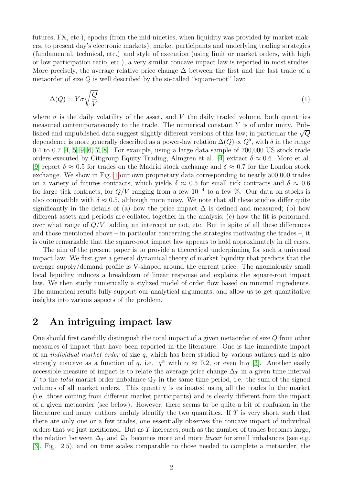futures, FX, etc.), epochs (from the mid-nineties, when liquidity was provided by market makers, to present day's electronic markets), market participants and underlying trading strategies (fundamental, technical, etc.) and style of execution (using limit or market orders, with high or low participation ratio, etc.), a very similar concave impact law is reported in most studies. More precisely, the average relative price change  $\Delta$  between the first and the last trade of a metaorder of size  $Q$  is well described by the so-called "square-root" law:

<span id="page-1-0"></span>
$$
\Delta(Q) = Y \sigma \sqrt{\frac{Q}{V}},\tag{1}
$$

where  $\sigma$  is the daily volatility of the asset, and V the daily traded volume, both quantities measured contemporaneously to the trade. The numerical constant Y is of order unity. Pubmeasured contemporaneously to the trade. The numerical constant T is of order unity. Fub-<br>lished and unpublished data suggest slightly different versions of this law; in particular the  $\sqrt{Q}$ dependence is more generally described as a power-law relation  $\Delta(Q) \propto Q^{\delta}$ , with  $\delta$  in the range 0.4 to 0.7  $[4, 5, 9, 6, 7, 8]$  $[4, 5, 9, 6, 7, 8]$  $[4, 5, 9, 6, 7, 8]$  $[4, 5, 9, 6, 7, 8]$  $[4, 5, 9, 6, 7, 8]$  $[4, 5, 9, 6, 7, 8]$ . For example, using a large data sample of 700,000 US stock trade orders executed by Citigroup Equity Trading, Almgren et al. [\[4\]](#page-12-3) extract  $\delta \approx 0.6$ . Moro et al. [\[9\]](#page-12-8) report  $\delta \approx 0.5$  for trades on the Madrid stock exchange and  $\delta \approx 0.7$  for the London stock exchange. We show in Fig. [1](#page-2-0) our own proprietary data corresponding to nearly 500,000 trades on a variety of futures contracts, which yields  $\delta \approx 0.5$  for small tick contracts and  $\delta \approx 0.6$ for large tick contracts, for  $Q/V$  ranging from a few 10<sup>-4</sup> to a few %. Our data on stocks is also compatible with  $\delta \approx 0.5$ , although more noisy. We note that all these studies differ quite significantly in the details of (a) how the price impact  $\Delta$  is defined and measured; (b) how different assets and periods are collated together in the analysis; (c) how the fit is performed: over what range of  $Q/V$ , adding an intercept or not, etc. But in spite of all these differences and those mentioned above – in particular concerning the strategies motivating the trades –, it is quite remarkable that the square-root impact law appears to hold approximately in all cases.

The aim of the present paper is to provide a theoretical underpinning for such a universal impact law. We first give a general dynamical theory of market liquidity that predicts that the average supply/demand profile is V-shaped around the current price. The anomalously small local liquidity induces a breakdown of linear response and explains the square-root impact law. We then study numerically a stylized model of order flow based on minimal ingredients. The numerical results fully support our analytical arguments, and allow us to get quantitative insights into various aspects of the problem.

#### 2 An intriguing impact law

One should first carefully distinguish the total impact of a given metaorder of size Q from other measures of impact that have been reported in the literature. One is the immediate impact of an individual market order of size q, which has been studied by various authors and is also strongly concave as a function of q, i.e.  $q^{\alpha}$  with  $\alpha \approx 0.2$ , or even  $\ln q$  [\[3\]](#page-12-2). Another easily accessible measure of impact is to relate the average price change  $\Delta_T$  in a given time interval T to the *total* market order imbalance  $\mathcal{Q}_T$  in the same time period, i.e. the sum of the signed volumes of all market orders. This quantity is estimated using all the trades in the market (i.e. those coming from different market participants) and is clearly different from the impact of a given metaorder (see below). However, there seems to be quite a bit of confusion in the literature and many authors unduly identify the two quantities. If T is very short, such that there are only one or a few trades, one essentially observes the concave impact of individual orders that we just mentioned. But as  $T$  increases, such as the number of trades becomes large, the relation between  $\Delta_T$  and  $\mathcal{Q}_T$  becomes more and more *linear* for small imbalances (see e.g. [\[3\]](#page-12-2), Fig. 2.5), and on time scales comparable to those needed to complete a metaorder, the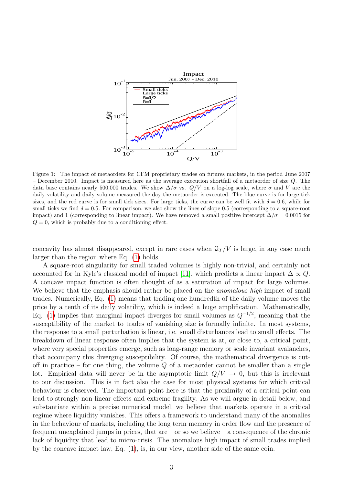

<span id="page-2-0"></span>Figure 1: The impact of metaorders for CFM proprietary trades on futures markets, in the period June 2007 – December 2010. Impact is measured here as the average execution shortfall of a metaorder of size Q. The data base contains nearly 500,000 trades. We show  $\Delta/\sigma$  vs.  $Q/V$  on a log-log scale, where  $\sigma$  and V are the daily volatility and daily volume measured the day the metaorder is executed. The blue curve is for large tick sizes, and the red curve is for small tick sizes. For large ticks, the curve can be well fit with  $\delta = 0.6$ , while for small ticks we find  $\delta = 0.5$ . For comparison, we also show the lines of slope 0.5 (corresponding to a square-root impact) and 1 (corresponding to linear impact). We have removed a small positive intercept  $\Delta/\sigma = 0.0015$  for  $Q = 0$ , which is probably due to a conditioning effect.

concavity has almost disappeared, except in rare cases when  $\mathcal{Q}_T/V$  is large, in any case much larger than the region where Eq. [\(1\)](#page-1-0) holds.

A square-root singularity for small traded volumes is highly non-trivial, and certainly not accounted for in Kyle's classical model of impact [\[11\]](#page-12-10), which predicts a linear impact  $\Delta \propto Q$ . A concave impact function is often thought of as a saturation of impact for large volumes. We believe that the emphasis should rather be placed on the *anomalous high* impact of small trades. Numerically, Eq. [\(1\)](#page-1-0) means that trading one hundredth of the daily volume moves the price by a tenth of its daily volatility, which is indeed a huge amplification. Mathematically, Eq. [\(1\)](#page-1-0) implies that marginal impact diverges for small volumes as  $Q^{-1/2}$ , meaning that the susceptibility of the market to trades of vanishing size is formally infinite. In most systems, the response to a small perturbation is linear, i.e. small disturbances lead to small effects. The breakdown of linear response often implies that the system is at, or close to, a critical point, where very special properties emerge, such as long-range memory or scale invariant avalanches, that accompany this diverging susceptibility. Of course, the mathematical divergence is cutoff in practice – for one thing, the volume  $Q$  of a metaorder cannot be smaller than a single lot. Empirical data will never be in the asymptotic limit  $Q/V \rightarrow 0$ , but this is irrelevant to our discussion. This is in fact also the case for most physical systems for which critical behaviour is observed. The important point here is that the proximity of a critical point can lead to strongly non-linear effects and extreme fragility. As we will argue in detail below, and substantiate within a precise numerical model, we believe that markets operate in a critical regime where liquidity vanishes. This offers a framework to understand many of the anomalies in the behaviour of markets, including the long term memory in order flow and the presence of frequent unexplained jumps in prices, that are  $-$  or so we believe  $-$  a consequence of the chronic lack of liquidity that lead to micro-crisis. The anomalous high impact of small trades implied by the concave impact law, Eq. [\(1\)](#page-1-0), is, in our view, another side of the same coin.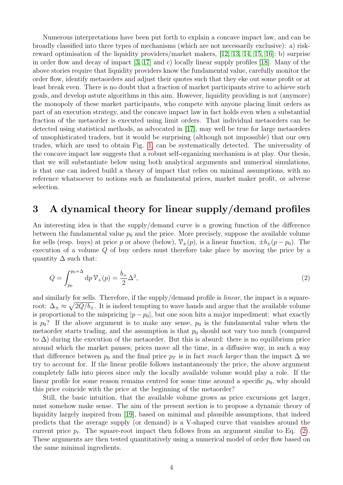Numerous interpretations have been put forth to explain a concave impact law, and can be broadly classified into three types of mechanisms (which are not necessarily exclusive): a) riskreward optimisation of the liquidity providers/market makers, [\[12,](#page-12-11) [13,](#page-12-12) [14,](#page-12-13) [15,](#page-12-14) [16\]](#page-12-15); b) surprise in order flow and decay of impact [\[3,](#page-12-2) [17\]](#page-13-0) and c) locally linear supply profiles [\[18\]](#page-13-1). Many of the above stories require that liquidity providers know the fundamental value, carefully monitor the order flow, identify metaorders and adjust their quotes such that they eke out some profit or at least break even. There is no doubt that a fraction of market participants strive to achieve such goals, and develop astute algorithms in this aim. However, liquidity providing is not (anymore) the monopoly of these market participants, who compete with anyone placing limit orders as part of an execution strategy, and the concave impact law in fact holds even when a substantial fraction of the metaorder is executed using limit orders. That individual metaorders can be detected using statistical methods, as advocated in [\[17\]](#page-13-0), may well be true for large metaorders of unsophisticated traders, but it would be surprising (although not impossible) that our own trades, which are used to obtain Fig. [1,](#page-2-0) can be systematically detected. The universality of the concave impact law suggests that a robust self-organizing mechanism is at play. Our thesis, that we will substantiate below using both analytical arguments and numerical simulations, is that one can indeed build a theory of impact that relies on minimal assumptions, with no reference whatsoever to notions such as fundamental prices, market maker profit, or adverse selection.

### 3 A dynamical theory for linear supply/demand profiles

An interesting idea is that the supply/demand curve is a growing function of the difference between the fundamental value  $p_0$  and the price. More precisely, suppose the available volume for sells (resp. buys) at price p or above (below),  $\mathcal{V}_{\pm}(p)$ , is a linear function,  $\pm b_{\pm}(p - p_0)$ . The execution of a volume Q of buy orders must therefore take place by moving the price by a quantity  $\Delta$  such that:

<span id="page-3-0"></span>
$$
Q = \int_{p_0}^{p_0 + \Delta} dp \, \mathcal{V}_+(p) = \frac{b_+}{2} \Delta^2,\tag{2}
$$

and similarly for sells. Therefore, if the supply/demand profile is *linear*, the impact is a squareroot:  $\Delta_{\pm} \approx \sqrt{2Q/b_{\pm}}$ . It is indeed tempting to wave hands and argue that the available volume is proportional to the mispricing  $|p-p_0|$ , but one soon hits a major impediment: what exactly is  $p_0$ ? If the above argument is to make any sense,  $p_0$  is the fundamental value when the metaorder starts trading, and the assumption is that  $p_0$  should not vary too much (compared to  $\Delta$ ) during the execution of the metaorder. But this is absurd: there is no equilibrium price around which the market pauses; prices move all the time, in a diffusive way, in such a way that difference between  $p_0$  and the final price  $p_T$  is in fact much larger than the impact  $\Delta$  we try to account for. If the linear profile follows instantaneously the price, the above argument completely falls into pieces since only the locally available volume would play a role. If the linear profile for some reason remains centred for some time around a specific  $p_0$ , why should this price coincide with the price at the beginning of the metaorder?

Still, the basic intuition, that the available volume grows as price excursions get larger, must somehow make sense. The aim of the present section is to propose a dynamic theory of liquidity largely inspired from [\[19\]](#page-13-2), based on minimal and plausible assumptions, that indeed predicts that the average supply (or demand) is a V-shaped curve that vanishes around the current price  $p_t$ . The square-root impact then follows from an argument similar to Eq. [\(2\)](#page-3-0). These arguments are then tested quantitatively using a numerical model of order flow based on the same minimal ingredients.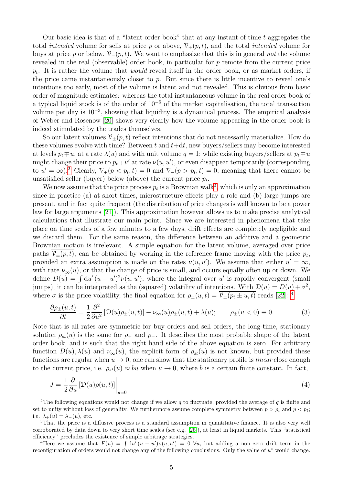Our basic idea is that of a "latent order book" that at any instant of time  $t$  aggregates the total *intended* volume for sells at price p or above,  $\mathcal{V}_+(p,t)$ , and the total *intended* volume for buys at price p or below,  $\mathcal{V}_-(p, t)$ . We want to emphasize that this is in general not the volume revealed in the real (observable) order book, in particular for  $p$  remote from the current price  $p_t$ . It is rather the volume that *would* reveal itself in the order book, or as market orders, if the price came instantaneously closer to p. But since there is little incentive to reveal one's intentions too early, most of the volume is latent and not revealed. This is obvious from basic order of magnitude estimates: whereas the total instantaneous volume in the real order book of a typical liquid stock is of the order of 10<sup>−</sup><sup>5</sup> of the market capitalisation, the total transaction volume per day is 10<sup>-3</sup>, showing that liquidity is a dynamical process. The empirical analysis of Weber and Rosenow [\[20\]](#page-13-3) shows very clearly how the volume appearing in the order book is indeed stimulated by the trades themselves.

So our latent volumes  $\mathcal{V}_{\pm}(p, t)$  reflect intentions that do not necessarily materialize. How do these volumes evolve with time? Between  $t$  and  $t+dt$ , new buyers/sellers may become interested at levels  $p_t \mp u$ , at a rate  $\lambda(u)$  and with unit volume  $q = 1$ ; while existing buyers/sellers at  $p_t \mp u$ might change their price to  $p_t \mp u'$  at rate  $\nu(u, u')$ , or even disappear temporarily (corresponding to  $u' = \infty$ ).<sup>[2](#page-4-0)</sup> Clearly,  $\mathcal{V}_+(p < p_t, t) = 0$  and  $\mathcal{V}_-(p > p_t, t) = 0$ , meaning that there cannot be unsatisfied seller (buyer) below (above) the current price  $p_t$ .

We now assume that the price process  $p_t$  is a Brownian walk<sup>[3](#page-4-1)</sup>, which is only an approximation since in practice (a) at short times, microstructure effects play a role and (b) large jumps are present, and in fact quite frequent (the distribution of price changes is well known to be a power law for large arguments [\[21\]](#page-13-4)). This approximation however allows us to make precise analytical calculations that illustrate our main point. Since we are interested in phenomena that take place on time scales of a few minutes to a few days, drift effects are completely negligible and we discard them. For the same reason, the difference between an additive and a geometric Brownian motion is irrelevant. A simple equation for the latent volume, averaged over price paths  $\mathcal{V}_{\pm}(p,t)$ , can be obtained by working in the reference frame moving with the price  $p_t$ , provided an extra assumption is made on the rates  $\nu(u, u')$ . We assume that either  $u' = \infty$ , with rate  $\nu_{\infty}(u)$ , or that the change of price is small, and occurs equally often up or down. We define  $D(u) = \int du'(u - u')^2 \nu(u, u')$ , where the integral over u' is rapidly convergent (small jumps); it can be interpreted as the (squared) volatility of intentions. With  $\mathcal{D}(u) = D(u) + \sigma^2$ , where  $\sigma$  is the price volatility, the final equation for  $\rho_{\pm}(u,t) = \overline{V_{\pm}(p_t \pm u,t)}$  reads [\[22\]](#page-13-5): <sup>[4](#page-4-2)</sup>

$$
\frac{\partial \rho_{\pm}(u,t)}{\partial t} = \frac{1}{2} \frac{\partial^2}{\partial u^2} \left[ \mathcal{D}(u)\rho_{\pm}(u,t) \right] - \nu_{\infty}(u)\rho_{\pm}(u,t) + \lambda(u); \qquad \rho_{\pm}(u < 0) \equiv 0. \tag{3}
$$

Note that is all rates are symmetric for buy orders and sell orders, the long-time, stationary solution  $\rho_{st}(u)$  is the same for  $\rho_+$  and  $\rho_-$ . It describes the most probable shape of the latent order book, and is such that the right hand side of the above equation is zero. For arbitrary function  $D(u)$ ,  $\lambda(u)$  and  $\nu_{\infty}(u)$ , the explicit form of  $\rho_{st}(u)$  is not known, but provided these functions are regular when  $u \to 0$ , one can show that the stationary profile is *linear* close enough to the current price, i.e.  $\rho_{st}(u) \approx bu$  when  $u \to 0$ , where b is a certain finite constant. In fact,

$$
J = \frac{1}{2} \frac{\partial}{\partial u} \left[ \mathcal{D}(u)\rho(u,t) \right] \Big|_{u=0} \tag{4}
$$

<span id="page-4-0"></span><sup>&</sup>lt;sup>2</sup>The following equations would not change if we allow q to fluctuate, provided the average of q is finite and set to unity without loss of generality. We furthermore assume complete symmetry between  $p > p_t$  and  $p < p_t$ ; i.e.  $\lambda_+(u) = \lambda_-(u)$ , etc.

<span id="page-4-1"></span><sup>3</sup>That the price is a diffusive process is a standard assumption in quantitative finance. It is also very well corroborated by data down to very short time scales (see e.g. [\[25\]](#page-13-6)), at least in liquid markets. This "statistical efficiency" precludes the existence of simple arbitrage strategies.

<span id="page-4-2"></span><sup>&</sup>lt;sup>4</sup>Here we assume that  $F(u) = \int du'(u - u')\nu(u, u') = 0 \forall u$ , but adding a non zero drift term in the reconfiguration of orders would not change any of the following conclusions. Only the value of  $u^*$  would change.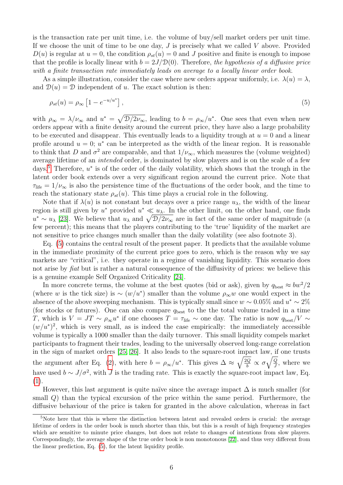is the transaction rate per unit time, i.e. the volume of buy/sell market orders per unit time. If we choose the unit of time to be one day,  $J$  is precisely what we called  $V$  above. Provided  $D(u)$  is regular at  $u = 0$ , the condition  $\rho_{st}(u) = 0$  and J positive and finite is enough to impose that the profile is locally linear with  $b = 2J/D(0)$ . Therefore, the hypothesis of a diffusive price with a finite transaction rate immediately leads on average to a locally linear order book.

As a simple illustration, consider the case where new orders appear uniformly, i.e.  $\lambda(u) = \lambda$ , and  $\mathcal{D}(u) = \mathcal{D}$  independent of u. The exact solution is then:

<span id="page-5-1"></span>
$$
\rho_{st}(u) = \rho_{\infty} \left[ 1 - e^{-u/u^*} \right],\tag{5}
$$

with  $\rho_{\infty} = \lambda/\nu_{\infty}$  and  $u^* = \sqrt{\mathcal{D}/2\nu_{\infty}}$ , leading to  $b = \rho_{\infty}/u^*$ . One sees that even when new orders appear with a finite density around the current price, they have also a large probability to be executed and disappear. This eventually leads to a liquidity trough at  $u = 0$  and a linear profile around  $u = 0$ ;  $u^*$  can be interpreted as the width of the linear region. It is reasonable to think that D and  $\sigma^2$  are comparable, and that  $1/\nu_{\infty}$ , which measures the (volume weighted) average lifetime of an intended order, is dominated by slow players and is on the scale of a few days.<sup>[5](#page-5-0)</sup> Therefore,  $u^*$  is of the order of the daily volatility, which shows that the trough in the latent order book extends over a very significant region around the current price. Note that  $\tau_{\text{life}} = 1/\nu_{\infty}$  is also the persistence time of the fluctuations of the order book, and the time to reach the stationary state  $\rho_{st}(u)$ . This time plays a crucial role in the following.

Note that if  $\lambda(u)$  is not constant but decays over a price range  $u_{\lambda}$ , the width of the linear region is still given by  $u^*$  provided  $u^* \ll u_\lambda$ . In the other limit, on the other hand, one finds  $u^* \sim u_\lambda$  [\[23\]](#page-13-7). We believe that  $u_\lambda$  and  $\sqrt{\mathcal{D}/2\nu_\infty}$  are in fact of the same order of magnitude (a few percent); this means that the players contributing to the 'true' liquidity of the market are not sensitive to price changes much smaller than the daily volatility (see also footnote 3).

Eq. [\(5\)](#page-5-1) contains the central result of the present paper. It predicts that the available volume in the immediate proximity of the current price goes to zero, which is the reason why we say markets are "critical", i.e. they operate in a regime of vanishing liquidity. This scenario does not arise by *fiat* but is rather a natural consequence of the diffusivity of prices: we believe this is a genuine example Self Organized Criticality [\[24\]](#page-13-8).

In more concrete terms, the volume at the best quotes (bid or ask), given by  $q_{\text{best}} \approx bw^2/2$ (where w is the tick size) is  $\sim (w/u^*)$  smaller than the volume  $\rho_{\infty}w$  one would expect in the absence of the above sweeping mechanism. This is typically small since  $w \sim 0.05\%$  and  $u^* \sim 2\%$ (for stocks or futures). One can also compare  $q_{best}$  to the total volume traded in a time T, which is  $V = JT \sim \rho_{\infty} u^*$  if one chooses  $T = \tau_{\text{life}} \sim$  one day. The ratio is now  $q_{\text{best}}/V \sim$  $(w/u^*)^2$ , which is very small, as is indeed the case empirically: the immediately accessible volume is typically a 1000 smaller than the daily turnover. This small liquidity compels market participants to fragment their trades, leading to the universally observed long-range correlation in the sign of market orders [\[25,](#page-13-6) [26\]](#page-13-9). It also leads to the square-root impact law, if one trusts the argument after Eq. [\(2\)](#page-3-0), with here  $b = \rho_{\infty}/u^*$ . This gives  $\Delta \approx \sqrt{\frac{2Q}{b}} \propto \sigma \sqrt{\frac{Q}{J}}$  $\frac{Q}{J}$ , where we have used  $b \sim J/\sigma^2$ , with J is the trading rate. This is exactly the square-root impact law, Eq.  $(1).$  $(1).$ 

However, this last argument is quite naïve since the average impact  $\Delta$  is much smaller (for small Q) than the typical excursion of the price within the same period. Furthermore, the diffusive behaviour of the price is taken for granted in the above calculation, whereas in fact

<span id="page-5-0"></span><sup>5</sup>Note here that this is where the distinction between latent and revealed orders is crucial: the average lifetime of orders in the order book is much shorter than this, but this is a result of high frequency strategies which are sensitive to minute price changes, but does not relate to changes of intentions from slow players. Correspondingly, the average shape of the true order book is non monotonous [\[22\]](#page-13-5), and thus very different from the linear prediction, Eq. [\(5\)](#page-5-1), for the latent liquidity profile.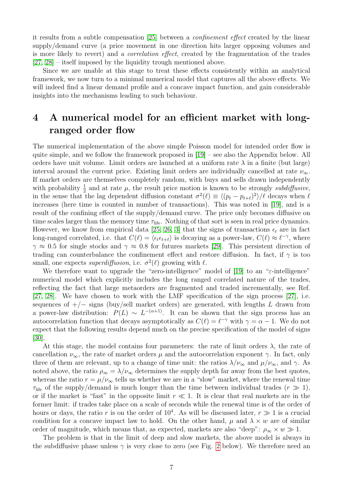it results from a subtle compensation [\[25\]](#page-13-6) between a confinement effect created by the linear supply/demand curve (a price movement in one direction hits larger opposing volumes and is more likely to revert) and a correlation effect, created by the fragmentation of the trades [\[27,](#page-13-10) [28\]](#page-13-11) – itself imposed by the liquidity trough mentioned above.

Since we are unable at this stage to treat these effects consistently within an analytical framework, we now turn to a minimal numerical model that captures all the above effects. We will indeed find a linear demand profile and a concave impact function, and gain considerable insights into the mechanisms leading to such behaviour.

## 4 A numerical model for an efficient market with longranged order flow

The numerical implementation of the above simple Poisson model for intended order flow is quite simple, and we follow the framework proposed in [\[19\]](#page-13-2) – see also the Appendix below. All orders have unit volume. Limit orders are launched at a uniform rate  $\lambda$  in a finite (but large) interval around the current price. Existing limit orders are individually cancelled at rate  $\nu_{\infty}$ . If market orders are themselves completely random, with buys and sells drawn independently with probability  $\frac{1}{2}$  and at rate  $\mu$ , the result price motion is known to be strongly subdiffusive, in the sense that the lag dependent diffusion constant  $\sigma^2(\ell) \equiv \langle (p_t - p_{t+\ell})^2 \rangle / \ell$  decays when  $\ell$ increases (here time is counted in number of transactions). This was noted in [\[19\]](#page-13-2), and is a result of the confining effect of the supply/demand curve. The price only becomes diffusive on time scales larger than the memory time  $\tau_{\text{life}}$ . Nothing of that sort is seen in real price dynamics. However, we know from empirical data [\[25,](#page-13-6) [26,](#page-13-9) [3\]](#page-12-2) that the signs of transactions  $\epsilon_t$  are in fact long-ranged correlated, i.e. that  $C(\ell) = \langle \epsilon_t \epsilon_{t+\ell} \rangle$  is decaying as a power-law,  $C(\ell) \approx \ell^{-\gamma}$ , where  $\gamma \approx 0.5$  for single stocks and  $\gamma \approx 0.8$  for futures markets [\[29\]](#page-13-12). This persistent direction of trading can counterbalance the confinement effect and restore diffusion. In fact, if  $\gamma$  is too small, one expects superdiffusion, i.e.  $\sigma^2(\ell)$  growing with  $\ell$ .

We therefore want to upgrade the "zero-intelligence" model of [\[19\]](#page-13-2) to an " $\varepsilon$ -intelligence" numerical model which explicitly includes the long ranged correlated nature of the trades, reflecting the fact that large metaorders are fragmented and traded incrementally, see Ref. [\[27,](#page-13-10) [28\]](#page-13-11). We have chosen to work with the LMF specification of the sign process [\[27\]](#page-13-10), i.e. sequences of  $+/-$  signs (buy/sell market orders) are generated, with lengths L drawn from a power-law distribution:  $P(L) \sim L^{-(\alpha+1)}$ . It can be shown that the sign process has an autocorrelation function that decays asymptotically as  $C(\ell) = \ell^{-\gamma}$  with  $\gamma = \alpha - 1$ . We do not expect that the following results depend much on the precise specification of the model of signs [\[30\]](#page-13-13).

At this stage, the model contains four parameters: the rate of limit orders  $\lambda$ , the rate of cancellation  $\nu_{\infty}$ , the rate of market orders  $\mu$  and the autocorrelation exponent  $\gamma$ . In fact, only three of them are relevant, up to a change of time unit: the ratios  $\lambda/\nu_{\infty}$  and  $\mu/\nu_{\infty}$ , and  $\gamma$ . As noted above, the ratio  $\rho_{\infty} = \lambda/\nu_{\infty}$  determines the supply depth far away from the best quotes, whereas the ratio  $r = \mu/\nu_{\infty}$  tells us whether we are in a "slow" market, where the renewal time  $\tau_{\text{life}}$  of the supply/demand is much longer than the time between individual trades  $(r \gg 1)$ , or if the market is "fast" in the opposite limit  $r \ll 1$ . It is clear that real markets are in the former limit: if trades take place on a scale of seconds while the renewal time is of the order of hours or days, the ratio r is on the order of  $10^4$ . As will be discussed later,  $r \gg 1$  is a crucial condition for a concave impact law to hold. On the other hand,  $\mu$  and  $\lambda \times w$  are of similar order of magnitude, which means that, as expected, markets are also "deep":  $\rho_{\infty} \times w \gg 1$ .

The problem is that in the limit of deep and slow markets, the above model is always in the subdiffusive phase unless  $\gamma$  is very close to zero (see Fig. [2](#page-8-0) below). We therefore need an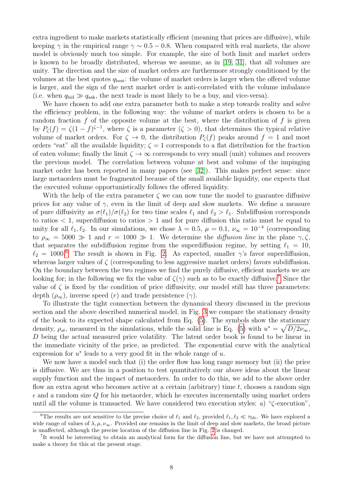extra ingredient to make markets statistically efficient (meaning that prices are diffusive), while keeping  $\gamma$  in the empirical range  $\gamma \sim 0.5 - 0.8$ . When compared with real markets, the above model is obviously much too simple. For example, the size of both limit and market orders is known to be broadly distributed, whereas we assume, as in [\[19,](#page-13-2) [31\]](#page-13-14), that all volumes are unity. The direction and the size of market orders are furthermore strongly conditioned by the volumes at the best quotes  $q_{best}$ : the volume of market orders is larger when the offered volume is larger, and the sign of the next market order is anti-correlated with the volume imbalance (i.e. when  $q_{\text{bid}} \gg q_{\text{ask}}$ , the next trade is most likely to be a buy, and vice-versa).

We have chosen to add one extra parameter both to make a step towards reality and solve the efficiency problem, in the following way: the volume of market orders is chosen to be a random fraction f of the opposite volume at the best, where the distribution of f is given by  $P_{\zeta}(f) = \zeta(1-f)^{\zeta-1}$ , where  $\zeta$  is a parameter  $(\zeta > 0)$ , that determines the typical relative volume of market orders. For  $\zeta \to 0$ , the distribution  $P_{\zeta}(f)$  peaks around  $f = 1$  and most orders "eat" all the available liquidity;  $\zeta = 1$  corresponds to a flat distribution for the fraction of eaten volume; finally the limit  $\zeta \to \infty$  corresponds to very small (unit) volumes and recovers the previous model. The correlation between volume at best and volume of the impinging market order has been reported in many papers (see [\[32\]](#page-13-15)). This makes perfect sense: since large metaorders must be fragmented because of the small available liquidity, one expects that the executed volume opportunistically follows the offered liquidity.

With the help of the extra parameter  $\zeta$  we can now tune the model to guarantee diffusive prices for any value of  $\gamma$ , even in the limit of deep and slow markets. We define a measure of pure diffusivity as  $\sigma(\ell_1)/\sigma(\ell_2)$  for two time scales  $\ell_1$  and  $\ell_2 > \ell_1$ . Subdiffusion corresponds to ratios  $\lt 1$ , superdiffusion to ratios  $> 1$  and for pure diffusion this ratio must be equal to unity for all  $\ell_1, \ell_2$ . In our simulations, we chose  $\lambda = 0.5$ ,  $\mu = 0.1$ ,  $\nu_{\infty} = 10^{-4}$  (corresponding to  $\rho_{\infty} = 5000 \gg 1$  and  $r = 1000 \gg 1$ . We determine the *diffusion line* in the plane  $\gamma, \zeta$ , that separates the subdiffusion regime from the superdiffusion regime, by setting  $\ell_1 = 10$ ,  $\ell_2 = 1000.6$  $\ell_2 = 1000.6$  The result is shown in Fig. [2.](#page-8-0) As expected, smaller  $\gamma$ 's favor superdiffusion, whereas larger values of ζ (corresponding to less aggressive market orders) favors subdiffusion. On the boundary between the two regimes we find the purely diffusive, efficient markets we are looking for; in the following we fix the value of  $\zeta(\gamma)$  such as to be exactly diffusive.<sup>[7](#page-7-1)</sup> Since the value of  $\zeta$  is fixed by the condition of price diffusivity, our model still has three parameters: depth  $(\rho_{\infty})$ , inverse speed  $(r)$  and trade persistence  $(\gamma)$ .

To illustrate the tight connection between the dynamical theory discussed in the previous section and the above described numerical model, in Fig. [3](#page-8-1) we compare the stationary density of the book to its expected shape calculated from Eq. [\(5\)](#page-5-1). The symbols show the stationary density,  $\rho_{st}$ , measured in the simulations, while the solid line is Eq. [\(5\)](#page-5-1) with  $u^* = \sqrt{D/2\nu_\infty}$ , D being the actual measured price volatility. The latent order book is found to be linear in the immediate vicinity of the price, as predicted. The exponential curve with the analytical expression for  $u^*$  leads to a very good fit in the whole range of  $u$ .

We now have a model such that (i) the order flow has long range memory but (ii) the price is diffusive. We are thus in a position to test quantitatively our above ideas about the linear supply function and the impact of metaorders. In order to do this, we add to the above order flow an extra agent who becomes active at a certain (arbitrary) time  $t$ , chooses a random sign  $\epsilon$  and a random size Q for his metaorder, which he executes incrementally using market orders until all the volume is transacted. We have considered two execution styles: a) "ζ-execution",

<span id="page-7-0"></span><sup>&</sup>lt;sup>6</sup>The results are not sensitive to the precise choice of  $\ell_1$  and  $\ell_2$ , provided  $\ell_1, \ell_2 \ll \tau_{\text{life}}$ . We have explored a wide range of values of  $\lambda, \mu, \nu_{\infty}$ . Provided one remains in the limit of deep and slow markets, the broad picture is unaffected, although the precise location of the diffusion line in Fig. [2](#page-8-0) is changed.

<span id="page-7-1"></span><sup>&</sup>lt;sup>7</sup>It would be interesting to obtain an analytical form for the diffusion line, but we have not attempted to make a theory for this at the present stage.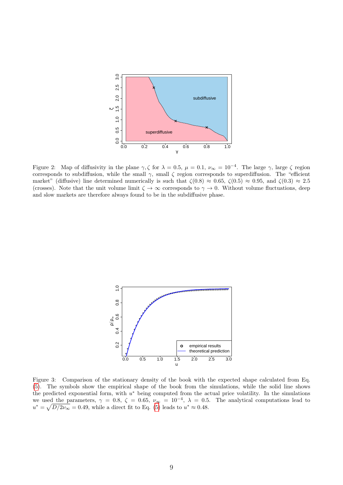

<span id="page-8-0"></span>Figure 2: Map of diffusivity in the plane  $\gamma, \zeta$  for  $\lambda = 0.5$ ,  $\mu = 0.1$ ,  $\nu_{\infty} = 10^{-4}$ . The large  $\gamma$ , large  $\zeta$  region corresponds to subdiffusion, while the small  $\gamma$ , small  $\zeta$  region corresponds to superdiffusion. The "efficient market" (diffusive) line determined numerically is such that  $\zeta(0.8) \approx 0.65$ ,  $\zeta(0.5) \approx 0.95$ , and  $\zeta(0.3) \approx 2.5$ (crosses). Note that the unit volume limit  $\zeta \to \infty$  corresponds to  $\gamma \to 0$ . Without volume fluctuations, deep and slow markets are therefore always found to be in the subdiffusive phase.



<span id="page-8-1"></span>Figure 3: Comparison of the stationary density of the book with the expected shape calculated from Eq. [\(5\)](#page-5-1). The symbols show the empirical shape of the book from the simulations, while the solid line shows the predicted exponential form, with  $u^*$  being computed from the actual price volatility. In the simulations we used the parameters,  $\gamma = 0.8$ ,  $\zeta = 0.65$ ,  $\nu_{\infty} = 10^{-4}$ ,  $\lambda = 0.5$ . The analytical computations lead to  $u^* = \sqrt{D/2\nu_\infty} = 0.49$ , while a direct fit to Eq. [\(5\)](#page-5-1) leads to  $u^* \approx 0.48$ .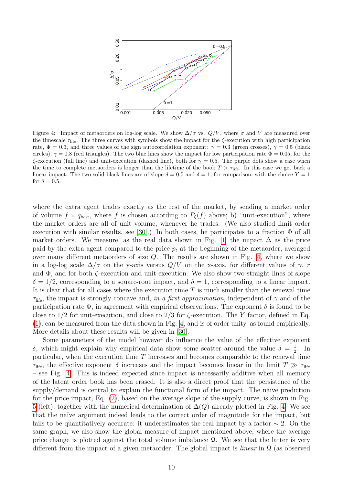

<span id="page-9-0"></span>Figure 4: Impact of metaorders on log-log scale. We show  $\Delta/\sigma$  vs.  $Q/V$ , where  $\sigma$  and V are measured over the timescale  $\tau_{\text{life}}$ . The three curves with symbols show the impact for the  $\zeta$ -execution with high participation rate,  $\Phi = 0.3$ , and three values of the sign autocorrelation exponent:  $\gamma = 0.3$  (green crosses),  $\gamma = 0.5$  (black circles),  $\gamma = 0.8$  (red triangles). The two blue lines show the impact for low participation rate  $\Phi = 0.05$ , for the  $\zeta$ -execution (full line) and unit-execution (dashed line), both for  $\gamma = 0.5$ . The purple dots show a case when the time to complete metaorders is longer than the lifetime of the book  $T > \tau_{\text{life}}$ . In this case we get back a linear impact. The two solid black lines are of slope  $\delta = 0.5$  and  $\delta = 1$ , for comparison, with the choice  $Y = 1$ for  $\delta = 0.5$ .

where the extra agent trades exactly as the rest of the market, by sending a market order of volume  $f \times q_{best}$ , where f is chosen according to  $P_{\zeta}(f)$  above; b) "unit-execution", where the market orders are all of unit volume, whenever he trades. (We also studied limit order execution with similar results, see [\[30\]](#page-13-13).) In both cases, he participates to a fraction  $\Phi$  of all market orders. We measure, as the real data shown in Fig. [1,](#page-2-0) the impact  $\Delta$  as the price paid by the extra agent compared to the price  $p_t$  at the beginning of the metaorder, averaged over many different metaorders of size Q. The results are shown in Fig. [4,](#page-9-0) where we show in a log-log scale  $\Delta/\sigma$  on the y-axis versus  $Q/V$  on the x-axis, for different values of  $\gamma$ , r and  $\Phi$ , and for both  $\zeta$ -execution and unit-execution. We also show two straight lines of slope  $\delta = 1/2$ , corresponding to a square-root impact, and  $\delta = 1$ , corresponding to a linear impact. It is clear that for all cases where the execution time  $T$  is much smaller than the renewal time  $\tau_{\text{life}}$ , the impact is strongly concave and, in a first approximation, independent of  $\gamma$  and of the participation rate  $\Phi$ , in agreement with empirical observations. The exponent  $\delta$  is found to be close to  $1/2$  for unit-execution, and close to  $2/3$  for  $\zeta$ -execution. The Y factor, defined in Eq. [\(1\)](#page-1-0), can be measured from the data shown in Fig. [4,](#page-9-0) and is of order unity, as found empirically. More details about these results will be given in [\[30\]](#page-13-13).

Some parameters of the model however do influence the value of the effective exponent δ, which might explain why empirical data show some scatter around the value  $\delta = \frac{1}{2}$  $\frac{1}{2}$ . In particular, when the execution time  $T$  increases and becomes comparable to the renewal time  $\tau_{\text{life}}$ , the effective exponent  $\delta$  increases and the impact becomes linear in the limit  $T \gg \tau_{\text{life}}$ – see Fig. [4.](#page-9-0) This is indeed expected since impact is necessarily additive when all memory of the latent order book has been erased. It is also a direct proof that the persistence of the  $\text{supply}/\text{demand}$  is central to explain the functional form of the impact. The naïve prediction for the price impact, Eq. [\(2\)](#page-3-0), based on the average slope of the supply curve, is shown in Fig. [5](#page-10-0) (left), together with the numerical determination of  $\Delta(Q)$  already plotted in Fig. [4.](#page-9-0) We see that the naïve argument indeed leads to the correct order of magnitude for the impact, but fails to be quantitatively accurate: it underestimates the real impact by a factor  $\sim 2$ . On the same graph, we also show the global measure of impact mentioned above, where the average price change is plotted against the total volume imbalance Q. We see that the latter is very different from the impact of a given metaorder. The global impact is *linear* in Q (as observed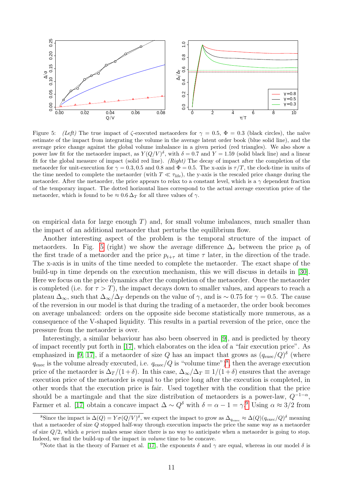

<span id="page-10-0"></span>Figure 5: (Left) The true impact of  $\zeta$ -executed metaorders for  $\gamma = 0.5$ ,  $\Phi = 0.3$  (black circles), the naïve estimate of the impact from integrating the volume in the average latent order book (blue solid line), and the average price change against the global volume imbalance in a given period (red triangles). We also show a power law fit for the metaorder impact, as  $Y(Q/V)^{\delta}$ , with  $\delta = 0.7$  and  $Y = 1.59$  (solid black line) and a linear fit for the global measure of impact (solid red line). (Right) The decay of impact after the completion of the metaorder for unit-execution for  $\gamma = 0.3, 0.5$  and  $0.8$  and  $\Phi = 0.5$ . The x-axis is  $\tau/T$ , the clock-time in units of the time needed to complete the metaorder (with  $T \ll \tau_{\text{life}}$ ), the y-axis is the rescaled price change during the metaorder. After the metaorder, the price appears to relax to a constant level, which is a  $\gamma$  dependent fraction of the temporary impact. The dotted horizontal lines correspond to the actual average execution price of the metaorder, which is found to be  $\approx 0.6 \Delta_T$  for all three values of  $\gamma$ .

on empirical data for large enough  $T$ ) and, for small volume imbalances, much smaller than the impact of an additional metaorder that perturbs the equilibrium flow.

Another interesting aspect of the problem is the temporal structure of the impact of metaorders. In Fig. [5](#page-10-0) (right) we show the average difference  $\Delta_{\tau}$  between the price  $p_t$  of the first trade of a metaorder and the price  $p_{t+\tau}$  at time  $\tau$  later, in the direction of the trade. The x-axis is in units of the time needed to complete the metaorder. The exact shape of the build-up in time depends on the execution mechanism, this we will discuss in details in [\[30\]](#page-13-13). Here we focus on the price dynamics after the completion of the metaorder. Once the metaorder is completed (i.e. for  $\tau > T$ ), the impact decays down to smaller values, and appears to reach a plateau  $\Delta_{\infty}$ , such that  $\Delta_{\infty}/\Delta_T$  depends on the value of  $\gamma$ , and is ~ 0.75 for  $\gamma = 0.5$ . The cause of the reversion in our model is that during the trading of a metaorder, the order book becomes on average unbalanced: orders on the opposite side become statistically more numerous, as a consequence of the V-shaped liquidity. This results in a partial reversion of the price, once the pressure from the metaorder is over.

Interestingly, a similar behaviour has also been observed in [\[9\]](#page-12-8), and is predicted by theory of impact recently put forth in [\[17\]](#page-13-0), which elaborates on the idea of a "fair execution price". As emphasized in [\[9,](#page-12-8) [17\]](#page-13-0), if a metaorder of size Q has an impact that grows as  $(q_{\text{exec}}/Q)^{\delta}$  (where  $q_{\text{exec}}$  is the volume already executed, i.e.  $q_{\text{exec}}/Q$  is "volume time")<sup>[8](#page-10-1)</sup>, then the average execution price of the metaorder is  $\Delta_T/(1+\delta)$ . In this case,  $\Delta_\infty/\Delta_T \equiv 1/(1+\delta)$  ensures that the average execution price of the metaorder is equal to the price long after the execution is completed, in other words that the execution price is fair. Used together with the condition that the price should be a martingale and that the size distribution of metaorders is a power-law,  $Q^{-1-\alpha}$ , Farmer et al. [\[17\]](#page-13-0) obtain a concave impact  $\Delta \sim Q^{\delta}$  with  $\delta = \alpha - 1 = \gamma$ .<sup>[9](#page-10-2)</sup> Using  $\alpha \approx 3/2$  from

<span id="page-10-1"></span><sup>&</sup>lt;sup>8</sup>Since the impact is  $\Delta(Q) = Y \sigma(Q/V)^{\delta}$ , we expect the impact to grow as  $\Delta_{q_{\text{exec}}} \approx \Delta(Q)(q_{\text{exec}}/Q)^{\delta}$  meaning that a metaorder of size Q stopped half-way through execution impacts the price the same way as a metaorder of size  $Q/2$ , which a priori makes sense since there is no way to anticipate when a metaorder is going to stop. Indeed, we find the build-up of the impact in volume time to be concave.

<span id="page-10-2"></span><sup>&</sup>lt;sup>9</sup>Note that in the theory of Farmer et al. [\[17\]](#page-13-0), the exponents  $\delta$  and  $\gamma$  are equal, whereas in our model  $\delta$  is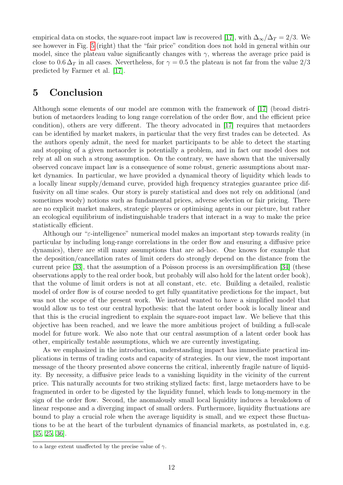empirical data on stocks, the square-root impact law is recovered [\[17\]](#page-13-0), with  $\Delta_{\infty}/\Delta_T = 2/3$ . We see however in Fig. [5](#page-10-0) (right) that the "fair price" condition does not hold in general within our model, since the plateau value significantly changes with  $\gamma$ , whereas the average price paid is close to  $0.6 \Delta_T$  in all cases. Nevertheless, for  $\gamma = 0.5$  the plateau is not far from the value  $2/3$ predicted by Farmer et al. [\[17\]](#page-13-0).

### 5 Conclusion

Although some elements of our model are common with the framework of [\[17\]](#page-13-0) (broad distribution of metaorders leading to long range correlation of the order flow, and the efficient price condition), others are very different. The theory advocated in [\[17\]](#page-13-0) requires that metaorders can be identified by market makers, in particular that the very first trades can be detected. As the authors openly admit, the need for market participants to be able to detect the starting and stopping of a given metaorder is potentially a problem, and in fact our model does not rely at all on such a strong assumption. On the contrary, we have shown that the universally observed concave impact law is a consequence of some robust, generic assumptions about market dynamics. In particular, we have provided a dynamical theory of liquidity which leads to a locally linear supply/demand curve, provided high frequency strategies guarantee price diffusivity on all time scales. Our story is purely statistical and does not rely on additional (and sometimes wooly) notions such as fundamental prices, adverse selection or fair pricing. There are no explicit market makers, strategic players or optimising agents in our picture, but rather an ecological equilibrium of indistinguishable traders that interact in a way to make the price statistically efficient.

Although our "ε-intelligence" numerical model makes an important step towards reality (in particular by including long-range correlations in the order flow and ensuring a diffusive price dynamics), there are still many assumptions that are ad-hoc. One knows for example that the deposition/cancellation rates of limit orders do strongly depend on the distance from the current price [\[33\]](#page-13-16), that the assumption of a Poisson process is an oversimplification [\[34\]](#page-14-0) (these observations apply to the real order book, but probably will also hold for the latent order book), that the volume of limit orders is not at all constant, etc. etc. Building a detailed, realistic model of order flow is of course needed to get fully quantitative predictions for the impact, but was not the scope of the present work. We instead wanted to have a simplified model that would allow us to test our central hypothesis: that the latent order book is locally linear and that this is the crucial ingredient to explain the square-root impact law. We believe that this objective has been reached, and we leave the more ambitious project of building a full-scale model for future work. We also note that our central assumption of a latent order book has other, empirically testable assumptions, which we are currently investigating.

As we emphasized in the introduction, understanding impact has immediate practical implications in terms of trading costs and capacity of strategies. In our view, the most important message of the theory presented above concerns the critical, inherently fragile nature of liquidity. By necessity, a diffusive price leads to a vanishing liquidity in the vicinity of the current price. This naturally accounts for two striking stylized facts: first, large metaorders have to be fragmented in order to be digested by the liquidity funnel, which leads to long-memory in the sign of the order flow. Second, the anomalously small local liquidity induces a breakdown of linear response and a diverging impact of small orders. Furthermore, liquidity fluctuations are bound to play a crucial role when the average liquidity is small, and we expect these fluctuations to be at the heart of the turbulent dynamics of financial markets, as postulated in, e.g. [\[35,](#page-14-1) [25,](#page-13-6) [36\]](#page-14-2).

to a large extent unaffected by the precise value of  $\gamma$ .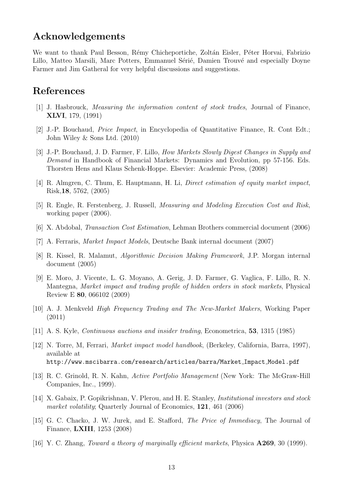### Acknowledgements

We want to thank Paul Besson, Rémy Chicheportiche, Zoltán Eisler, Péter Horvai, Fabrizio Lillo, Matteo Marsili, Marc Potters, Emmanuel Sérié, Damien Trouvé and especially Doyne Farmer and Jim Gatheral for very helpful discussions and suggestions.

### References

- <span id="page-12-0"></span>[1] J. Hasbrouck, Measuring the information content of stock trades, Journal of Finance, XLVI, 179, (1991)
- <span id="page-12-1"></span>[2] J.-P. Bouchaud, Price Impact, in Encyclopedia of Quantitative Finance, R. Cont Edt.; John Wiley & Sons Ltd. (2010)
- <span id="page-12-2"></span>[3] J.-P. Bouchaud, J. D. Farmer, F. Lillo, How Markets Slowly Digest Changes in Supply and Demand in Handbook of Financial Markets: Dynamics and Evolution, pp 57-156. Eds. Thorsten Hens and Klaus Schenk-Hoppe. Elsevier: Academic Press, (2008)
- <span id="page-12-3"></span>[4] R. Almgren, C. Thum, E. Hauptmann, H. Li, Direct estimation of equity market impact, Risk,18, 5762, (2005)
- <span id="page-12-4"></span>[5] R. Engle, R. Ferstenberg, J. Russell, Measuring and Modeling Execution Cost and Risk, working paper (2006).
- <span id="page-12-5"></span>[6] X. Abdobal, Transaction Cost Estimation, Lehman Brothers commercial document (2006)
- <span id="page-12-6"></span>[7] A. Ferraris, Market Impact Models, Deutsche Bank internal document (2007)
- <span id="page-12-7"></span>[8] R. Kissel, R. Malamut, Algorithmic Decision Making Framework, J.P. Morgan internal document (2005)
- <span id="page-12-8"></span>[9] E. Moro, J. Vicente, L. G. Moyano, A. Gerig, J. D. Farmer, G. Vaglica, F. Lillo, R. N. Mantegna, Market impact and trading profile of hidden orders in stock markets, Physical Review E 80, 066102 (2009)
- <span id="page-12-9"></span>[10] A. J. Menkveld High Frequency Trading and The New-Market Makers, Working Paper (2011)
- <span id="page-12-10"></span>[11] A. S. Kyle, Continuous auctions and insider trading, Econometrica, 53, 1315 (1985)
- <span id="page-12-11"></span>[12] N. Torre, M, Ferrari, Market impact model handbook, (Berkeley, California, Barra, 1997), available at http://www.mscibarra.com/research/articles/barra/Market Impact Model.pdf
- <span id="page-12-12"></span>[13] R. C. Grinold, R. N. Kahn, Active Portfolio Management (New York: The McGraw-Hill Companies, Inc., 1999).
- <span id="page-12-13"></span>[14] X. Gabaix, P. Gopikrishnan, V. Plerou, and H. E. Stanley, Institutional investors and stock market volatility; Quarterly Journal of Economics, 121, 461 (2006)
- <span id="page-12-14"></span>[15] G. C. Chacko, J. W. Jurek, and E. Stafford, The Price of Immediacy, The Journal of Finance, LXIII, 1253 (2008)
- <span id="page-12-15"></span>[16] Y. C. Zhang, *Toward a theory of marginally efficient markets*, Physica  $\mathbf{A}269$ , 30 (1999).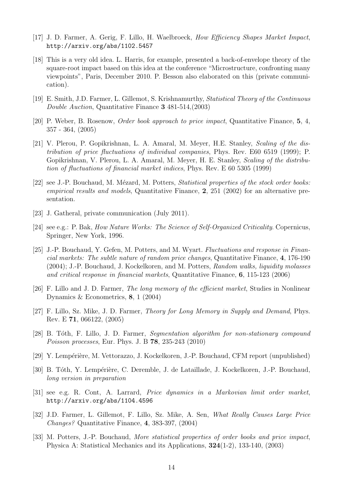- <span id="page-13-0"></span>[17] J. D. Farmer, A. Gerig, F. Lillo, H. Waelbroeck, How Efficiency Shapes Market Impact, http://arxiv.org/abs/1102.5457
- <span id="page-13-1"></span>[18] This is a very old idea. L. Harris, for example, presented a back-of-envelope theory of the square-root impact based on this idea at the conference "Microstructure, confronting many viewpoints", Paris, December 2010. P. Besson also elaborated on this (private communication).
- <span id="page-13-2"></span>[19] E. Smith, J.D. Farmer, L. Gillemot, S. Krishnamurthy, Statistical Theory of the Continuous Double Auction, Quantitative Finance 3 481-514,(2003)
- <span id="page-13-3"></span>[20] P. Weber, B. Rosenow, Order book approach to price impact, Quantitative Finance, 5, 4, 357 - 364, (2005)
- <span id="page-13-4"></span>[21] V. Plerou, P. Gopikrishnan, L. A. Amaral, M. Meyer, H.E. Stanley, Scaling of the distribution of price fluctuations of individual companies, Phys. Rev. E60 6519 (1999); P. Gopikrishnan, V. Plerou, L. A. Amaral, M. Meyer, H. E. Stanley, Scaling of the distribution of fluctuations of financial market indices, Phys. Rev. E 60 5305 (1999)
- <span id="page-13-5"></span>[22] see J.-P. Bouchaud, M. Mézard, M. Potters, Statistical properties of the stock order books: empirical results and models, Quantitative Finance, 2, 251 (2002) for an alternative presentation.
- <span id="page-13-7"></span>[23] J. Gatheral, private communication (July 2011).
- <span id="page-13-8"></span>[24] see e.g.: P. Bak, How Nature Works: The Science of Self-Organized Criticality. Copernicus, Springer, New York, 1996.
- <span id="page-13-6"></span>[25] J.-P. Bouchaud, Y. Gefen, M. Potters, and M. Wyart. Fluctuations and response in Financial markets: The subtle nature of random price changes, Quantitative Finance, 4, 176-190 (2004); J.-P. Bouchaud, J. Kockelkoren, and M. Potters, Random walks, liquidity molasses and critical response in financial markets, Quantitative Finance, 6, 115-123 (2006)
- <span id="page-13-9"></span>[26] F. Lillo and J. D. Farmer, The long memory of the efficient market, Studies in Nonlinear Dynamics & Econometrics, 8, 1 (2004)
- <span id="page-13-10"></span>[27] F. Lillo, Sz. Mike, J. D. Farmer, Theory for Long Memory in Supply and Demand, Phys. Rev. E 71, 066122, (2005)
- <span id="page-13-11"></span>[28] B. Tóth, F. Lillo, J. D. Farmer, Segmentation algorithm for non-stationary compound Poisson processes, Eur. Phys. J. B 78, 235-243 (2010)
- <span id="page-13-12"></span>[29] Y. Lempérière, M. Vettorazzo, J. Kockelkoren, J.-P. Bouchaud, CFM report (unpublished)
- <span id="page-13-13"></span>[30] B. Tóth, Y. Lempérière, C. Deremble, J. de Lataillade, J. Kockelkoren, J.-P. Bouchaud, long version in preparation
- <span id="page-13-14"></span>[31] see e.g. R. Cont, A. Larrard, Price dynamics in a Markovian limit order market, http://arxiv.org/abs/1104.4596
- <span id="page-13-15"></span>[32] J.D. Farmer, L. Gillemot, F. Lillo, Sz. Mike, A. Sen, What Really Causes Large Price Changes? Quantitative Finance, 4, 383-397, (2004)
- <span id="page-13-16"></span>[33] M. Potters, J.-P. Bouchaud, More statistical properties of order books and price impact, Physica A: Statistical Mechanics and its Applications, 324(1-2), 133-140, (2003)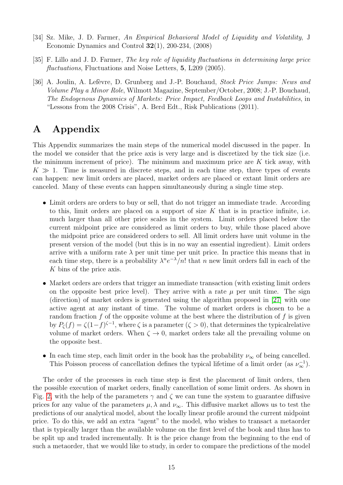- <span id="page-14-0"></span>[34] Sz. Mike, J. D. Farmer, An Empirical Behavioral Model of Liquidity and Volatility, J Economic Dynamics and Control  $32(1)$ , 200-234, (2008)
- <span id="page-14-1"></span>[35] F. Lillo and J. D. Farmer, The key role of liquidity fluctuations in determining large price fluctuations, Fluctuations and Noise Letters, 5, L209 (2005).
- <span id="page-14-2"></span>[36] A. Joulin, A. Lefèvre, D. Grunberg and J.-P. Bouchaud, Stock Price Jumps: News and Volume Play a Minor Role, Wilmott Magazine, September/October, 2008; J.-P. Bouchaud, The Endogenous Dynamics of Markets: Price Impact, Feedback Loops and Instabilities, in "Lessons from the 2008 Crisis", A. Berd Edt., Risk Publications (2011).

### A Appendix

This Appendix summarizes the main steps of the numerical model discussed in the paper. In the model we consider that the price axis is very large and is discretized by the tick size (i.e. the minimum increment of price). The minimum and maximum price are  $K$  tick away, with  $K \gg 1$ . Time is measured in discrete steps, and in each time step, three types of events can happen: new limit orders are placed, market orders are placed or extant limit orders are canceled. Many of these events can happen simultaneously during a single time step.

- Limit orders are orders to buy or sell, that do not trigger an immediate trade. According to this, limit orders are placed on a support of size  $K$  that is in practice infinite, i.e. much larger than all other price scales in the system. Limit orders placed below the current midpoint price are considered as limit orders to buy, while those placed above the midpoint price are considered orders to sell. All limit orders have unit volume in the present version of the model (but this is in no way an essential ingredient). Limit orders arrive with a uniform rate  $\lambda$  per unit time per unit price. In practice this means that in each time step, there is a probability  $\lambda^n e^{-\lambda}/n!$  that n new limit orders fall in each of the K bins of the price axis.
- Market orders are orders that trigger an immediate transaction (with existing limit orders on the opposite best price level). They arrive with a rate  $\mu$  per unit time. The sign (direction) of market orders is generated using the algorithm proposed in [\[27\]](#page-13-10) with one active agent at any instant of time. The volume of market orders is chosen to be a random fraction  $f$  of the opposite volume at the best where the distribution of  $f$  is given by  $P_{\zeta}(f) = \zeta(1-f)^{\zeta-1}$ , where  $\zeta$  is a parameter  $(\zeta > 0)$ , that determines the typical relative volume of market orders. When  $\zeta \to 0$ , market orders take all the prevailing volume on the opposite best.
- In each time step, each limit order in the book has the probability  $\nu_{\infty}$  of being cancelled. This Poisson process of cancellation defines the typical lifetime of a limit order (as  $\nu_{\infty}^{-1}$ ).

The order of the processes in each time step is first the placement of limit orders, then the possible execution of market orders, finally cancellation of some limit orders. As shown in Fig. [2,](#page-8-0) with the help of the parameters  $\gamma$  and  $\zeta$  we can tune the system to guarantee diffusive prices for any value of the parameters  $\mu$ ,  $\lambda$  and  $\nu_{\infty}$ . This diffusive market allows us to test the predictions of our analytical model, about the locally linear profile around the current midpoint price. To do this, we add an extra "agent" to the model, who wishes to transact a metaorder that is typically larger than the available volume on the first level of the book and thus has to be split up and traded incrementally. It is the price change from the beginning to the end of such a metaorder, that we would like to study, in order to compare the predictions of the model